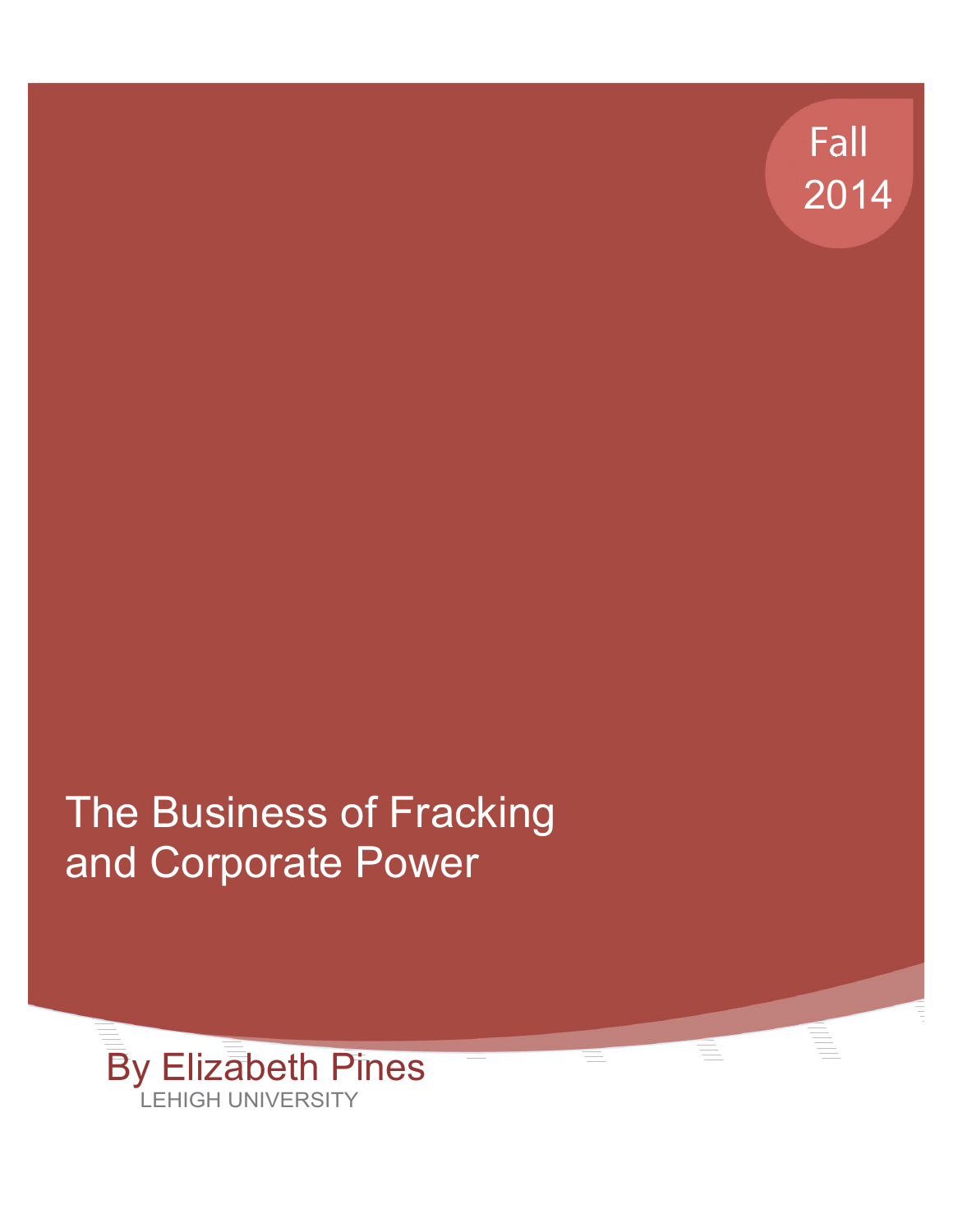

# The Business of Fracking and Corporate Power

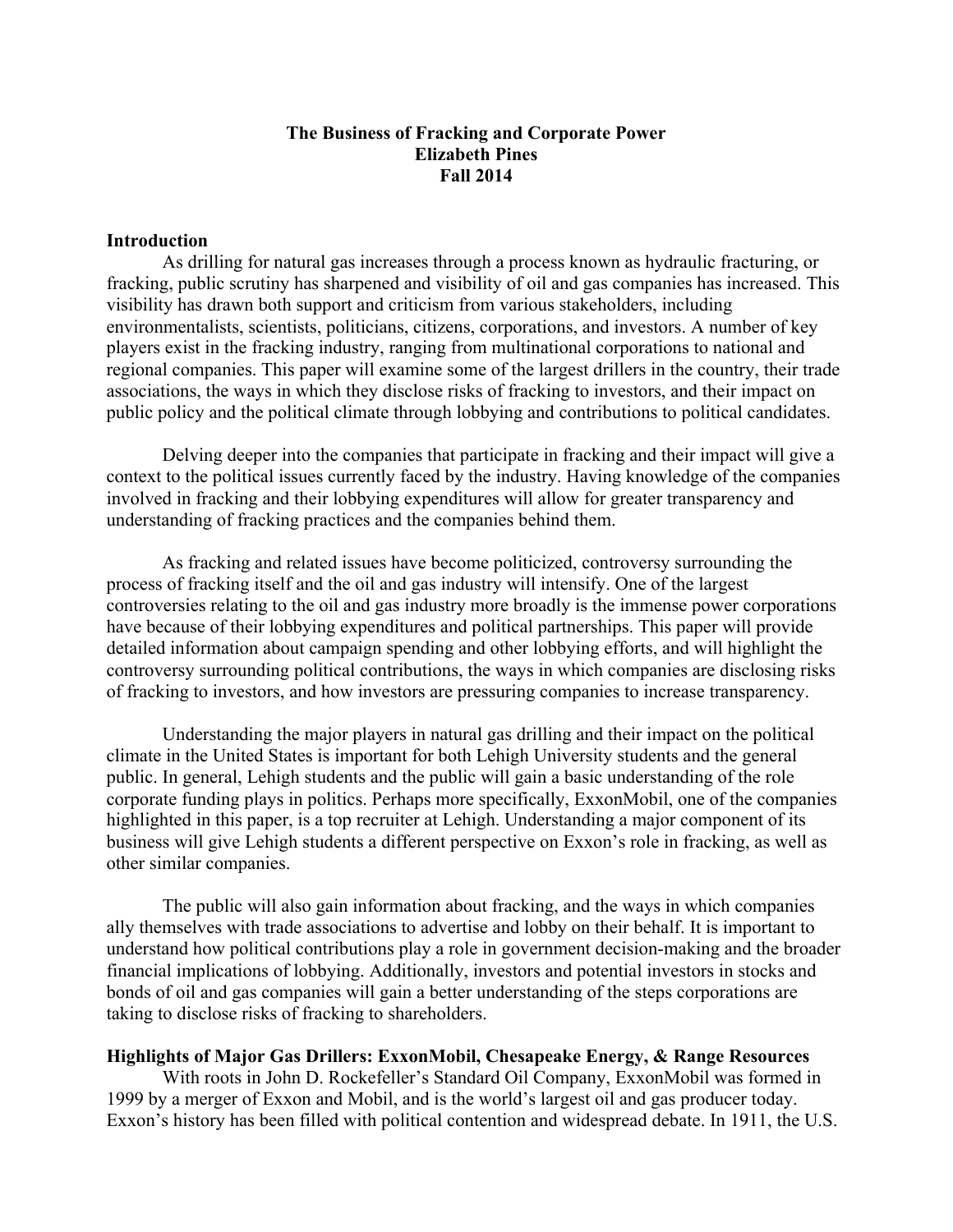#### **The Business of Fracking and Corporate Power Elizabeth Pines Fall 2014**

#### **Introduction**

As drilling for natural gas increases through a process known as hydraulic fracturing, or fracking, public scrutiny has sharpened and visibility of oil and gas companies has increased. This visibility has drawn both support and criticism from various stakeholders, including environmentalists, scientists, politicians, citizens, corporations, and investors. A number of key players exist in the fracking industry, ranging from multinational corporations to national and regional companies. This paper will examine some of the largest drillers in the country, their trade associations, the ways in which they disclose risks of fracking to investors, and their impact on public policy and the political climate through lobbying and contributions to political candidates.

Delving deeper into the companies that participate in fracking and their impact will give a context to the political issues currently faced by the industry. Having knowledge of the companies involved in fracking and their lobbying expenditures will allow for greater transparency and understanding of fracking practices and the companies behind them.

As fracking and related issues have become politicized, controversy surrounding the process of fracking itself and the oil and gas industry will intensify. One of the largest controversies relating to the oil and gas industry more broadly is the immense power corporations have because of their lobbying expenditures and political partnerships. This paper will provide detailed information about campaign spending and other lobbying efforts, and will highlight the controversy surrounding political contributions, the ways in which companies are disclosing risks of fracking to investors, and how investors are pressuring companies to increase transparency.

Understanding the major players in natural gas drilling and their impact on the political climate in the United States is important for both Lehigh University students and the general public. In general, Lehigh students and the public will gain a basic understanding of the role corporate funding plays in politics. Perhaps more specifically, ExxonMobil, one of the companies highlighted in this paper, is a top recruiter at Lehigh. Understanding a major component of its business will give Lehigh students a different perspective on Exxon's role in fracking, as well as other similar companies.

The public will also gain information about fracking, and the ways in which companies ally themselves with trade associations to advertise and lobby on their behalf. It is important to understand how political contributions play a role in government decision-making and the broader financial implications of lobbying. Additionally, investors and potential investors in stocks and bonds of oil and gas companies will gain a better understanding of the steps corporations are taking to disclose risks of fracking to shareholders.

#### **Highlights of Major Gas Drillers: ExxonMobil, Chesapeake Energy, & Range Resources**

With roots in John D. Rockefeller's Standard Oil Company, ExxonMobil was formed in 1999 by a merger of Exxon and Mobil, and is the world's largest oil and gas producer today. Exxon's history has been filled with political contention and widespread debate. In 1911, the U.S.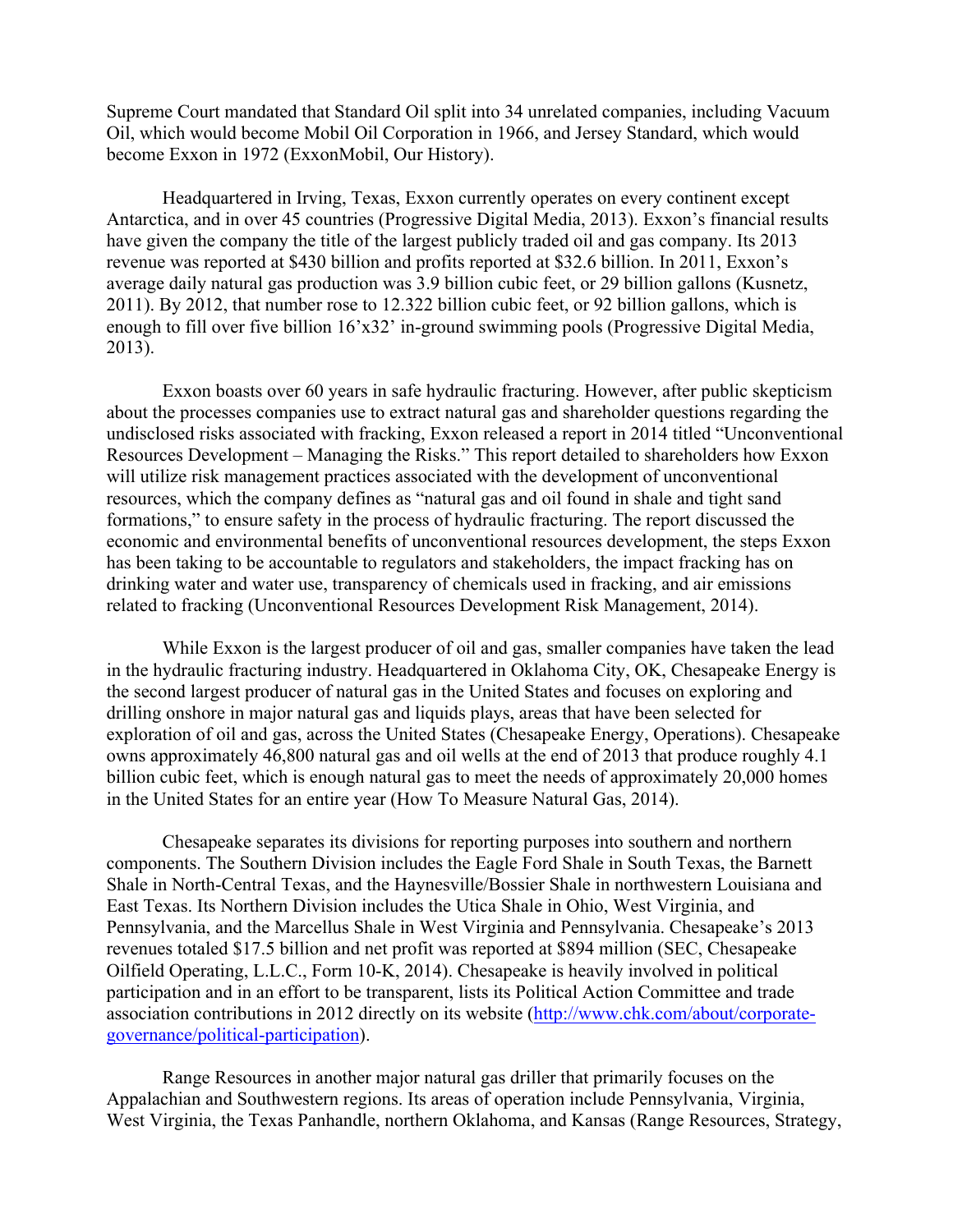Supreme Court mandated that Standard Oil split into 34 unrelated companies, including Vacuum Oil, which would become Mobil Oil Corporation in 1966, and Jersey Standard, which would become Exxon in 1972 (ExxonMobil, Our History).

Headquartered in Irving, Texas, Exxon currently operates on every continent except Antarctica, and in over 45 countries (Progressive Digital Media, 2013). Exxon's financial results have given the company the title of the largest publicly traded oil and gas company. Its 2013 revenue was reported at \$430 billion and profits reported at \$32.6 billion. In 2011, Exxon's average daily natural gas production was 3.9 billion cubic feet, or 29 billion gallons (Kusnetz, 2011). By 2012, that number rose to 12.322 billion cubic feet, or 92 billion gallons, which is enough to fill over five billion 16'x32' in-ground swimming pools (Progressive Digital Media, 2013).

Exxon boasts over 60 years in safe hydraulic fracturing. However, after public skepticism about the processes companies use to extract natural gas and shareholder questions regarding the undisclosed risks associated with fracking, Exxon released a report in 2014 titled "Unconventional Resources Development – Managing the Risks." This report detailed to shareholders how Exxon will utilize risk management practices associated with the development of unconventional resources, which the company defines as "natural gas and oil found in shale and tight sand formations," to ensure safety in the process of hydraulic fracturing. The report discussed the economic and environmental benefits of unconventional resources development, the steps Exxon has been taking to be accountable to regulators and stakeholders, the impact fracking has on drinking water and water use, transparency of chemicals used in fracking, and air emissions related to fracking (Unconventional Resources Development Risk Management, 2014).

While Exxon is the largest producer of oil and gas, smaller companies have taken the lead in the hydraulic fracturing industry. Headquartered in Oklahoma City, OK, Chesapeake Energy is the second largest producer of natural gas in the United States and focuses on exploring and drilling onshore in major natural gas and liquids plays, areas that have been selected for exploration of oil and gas, across the United States (Chesapeake Energy, Operations). Chesapeake owns approximately 46,800 natural gas and oil wells at the end of 2013 that produce roughly 4.1 billion cubic feet, which is enough natural gas to meet the needs of approximately 20,000 homes in the United States for an entire year (How To Measure Natural Gas, 2014).

Chesapeake separates its divisions for reporting purposes into southern and northern components. The Southern Division includes the Eagle Ford Shale in South Texas, the Barnett Shale in North-Central Texas, and the Haynesville/Bossier Shale in northwestern Louisiana and East Texas. Its Northern Division includes the Utica Shale in Ohio, West Virginia, and Pennsylvania, and the Marcellus Shale in West Virginia and Pennsylvania. Chesapeake's 2013 revenues totaled \$17.5 billion and net profit was reported at \$894 million (SEC, Chesapeake Oilfield Operating, L.L.C., Form 10-K, 2014). Chesapeake is heavily involved in political participation and in an effort to be transparent, lists its Political Action Committee and trade association contributions in 2012 directly on its website (http://www.chk.com/about/corporategovernance/political-participation).

Range Resources in another major natural gas driller that primarily focuses on the Appalachian and Southwestern regions. Its areas of operation include Pennsylvania, Virginia, West Virginia, the Texas Panhandle, northern Oklahoma, and Kansas (Range Resources, Strategy,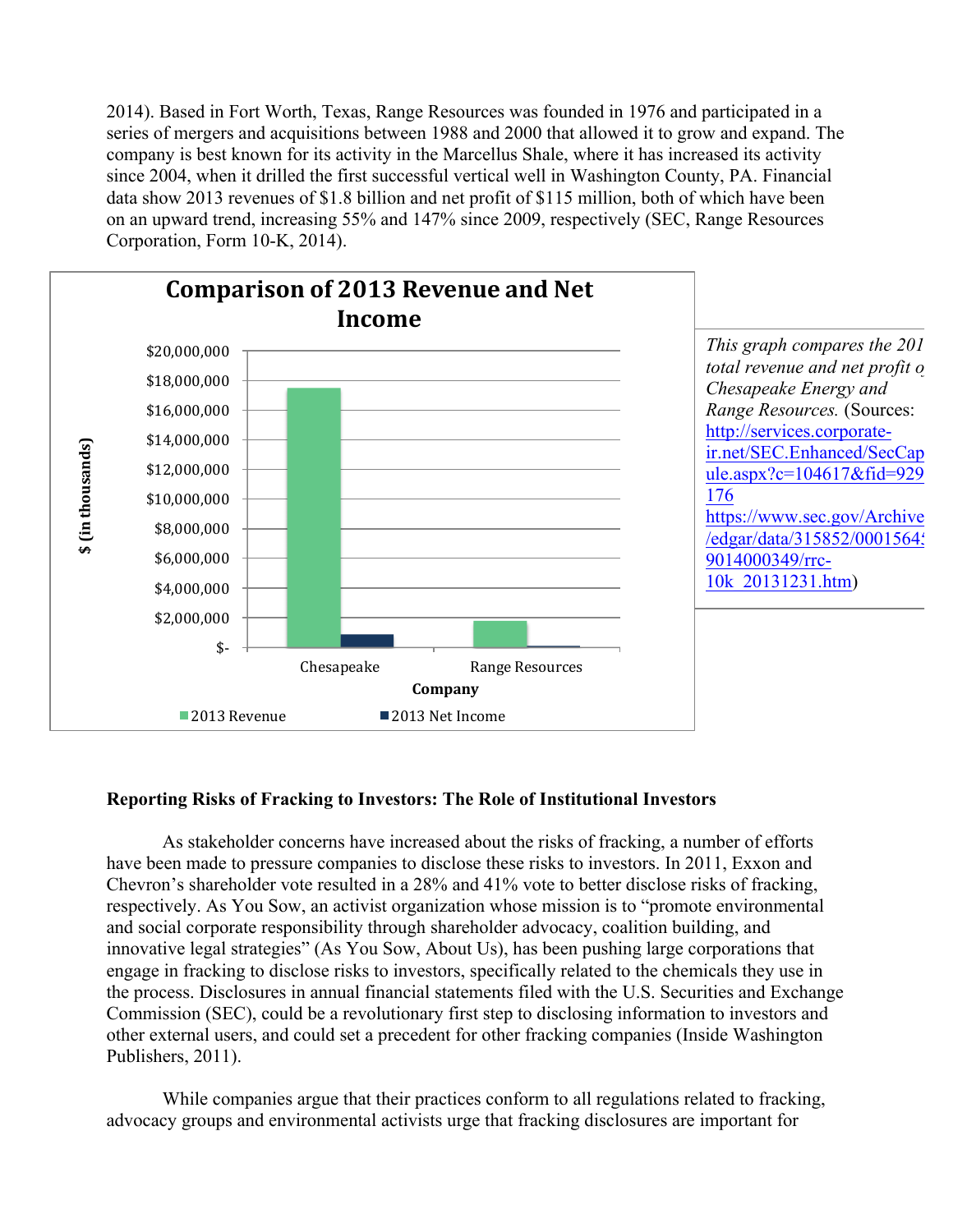2014). Based in Fort Worth, Texas, Range Resources was founded in 1976 and participated in a series of mergers and acquisitions between 1988 and 2000 that allowed it to grow and expand. The company is best known for its activity in the Marcellus Shale, where it has increased its activity since 2004, when it drilled the first successful vertical well in Washington County, PA. Financial data show 2013 revenues of \$1.8 billion and net profit of \$115 million, both of which have been on an upward trend, increasing 55% and 147% since 2009, respectively (SEC, Range Resources Corporation, Form 10-K, 2014).



# **Reporting Risks of Fracking to Investors: The Role of Institutional Investors**

As stakeholder concerns have increased about the risks of fracking, a number of efforts have been made to pressure companies to disclose these risks to investors. In 2011, Exxon and Chevron's shareholder vote resulted in a 28% and 41% vote to better disclose risks of fracking, respectively. As You Sow, an activist organization whose mission is to "promote environmental and social corporate responsibility through shareholder advocacy, coalition building, and innovative legal strategies" (As You Sow, About Us), has been pushing large corporations that engage in fracking to disclose risks to investors, specifically related to the chemicals they use in the process. Disclosures in annual financial statements filed with the U.S. Securities and Exchange Commission (SEC), could be a revolutionary first step to disclosing information to investors and other external users, and could set a precedent for other fracking companies (Inside Washington Publishers, 2011).

While companies argue that their practices conform to all regulations related to fracking, advocacy groups and environmental activists urge that fracking disclosures are important for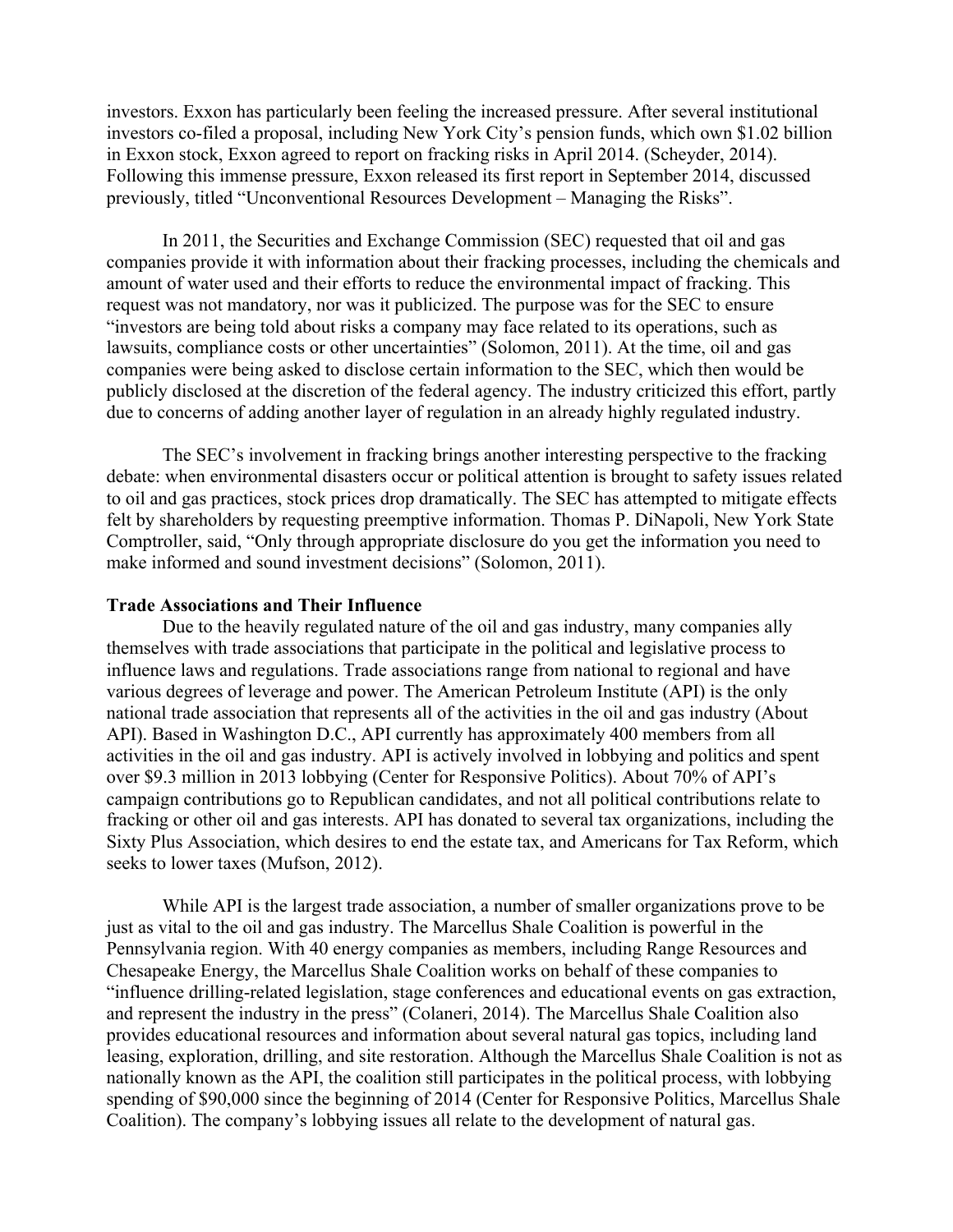investors. Exxon has particularly been feeling the increased pressure. After several institutional investors co-filed a proposal, including New York City's pension funds, which own \$1.02 billion in Exxon stock, Exxon agreed to report on fracking risks in April 2014. (Scheyder, 2014). Following this immense pressure, Exxon released its first report in September 2014, discussed previously, titled "Unconventional Resources Development – Managing the Risks".

In 2011, the Securities and Exchange Commission (SEC) requested that oil and gas companies provide it with information about their fracking processes, including the chemicals and amount of water used and their efforts to reduce the environmental impact of fracking. This request was not mandatory, nor was it publicized. The purpose was for the SEC to ensure "investors are being told about risks a company may face related to its operations, such as lawsuits, compliance costs or other uncertainties" (Solomon, 2011). At the time, oil and gas companies were being asked to disclose certain information to the SEC, which then would be publicly disclosed at the discretion of the federal agency. The industry criticized this effort, partly due to concerns of adding another layer of regulation in an already highly regulated industry.

The SEC's involvement in fracking brings another interesting perspective to the fracking debate: when environmental disasters occur or political attention is brought to safety issues related to oil and gas practices, stock prices drop dramatically. The SEC has attempted to mitigate effects felt by shareholders by requesting preemptive information. Thomas P. DiNapoli, New York State Comptroller, said, "Only through appropriate disclosure do you get the information you need to make informed and sound investment decisions" (Solomon, 2011).

#### **Trade Associations and Their Influence**

Due to the heavily regulated nature of the oil and gas industry, many companies ally themselves with trade associations that participate in the political and legislative process to influence laws and regulations. Trade associations range from national to regional and have various degrees of leverage and power. The American Petroleum Institute (API) is the only national trade association that represents all of the activities in the oil and gas industry (About API). Based in Washington D.C., API currently has approximately 400 members from all activities in the oil and gas industry. API is actively involved in lobbying and politics and spent over \$9.3 million in 2013 lobbying (Center for Responsive Politics). About 70% of API's campaign contributions go to Republican candidates, and not all political contributions relate to fracking or other oil and gas interests. API has donated to several tax organizations, including the Sixty Plus Association, which desires to end the estate tax, and Americans for Tax Reform, which seeks to lower taxes (Mufson, 2012).

While API is the largest trade association, a number of smaller organizations prove to be just as vital to the oil and gas industry. The Marcellus Shale Coalition is powerful in the Pennsylvania region. With 40 energy companies as members, including Range Resources and Chesapeake Energy, the Marcellus Shale Coalition works on behalf of these companies to "influence drilling-related legislation, stage conferences and educational events on gas extraction, and represent the industry in the press" (Colaneri, 2014). The Marcellus Shale Coalition also provides educational resources and information about several natural gas topics, including land leasing, exploration, drilling, and site restoration. Although the Marcellus Shale Coalition is not as nationally known as the API, the coalition still participates in the political process, with lobbying spending of \$90,000 since the beginning of 2014 (Center for Responsive Politics, Marcellus Shale Coalition). The company's lobbying issues all relate to the development of natural gas.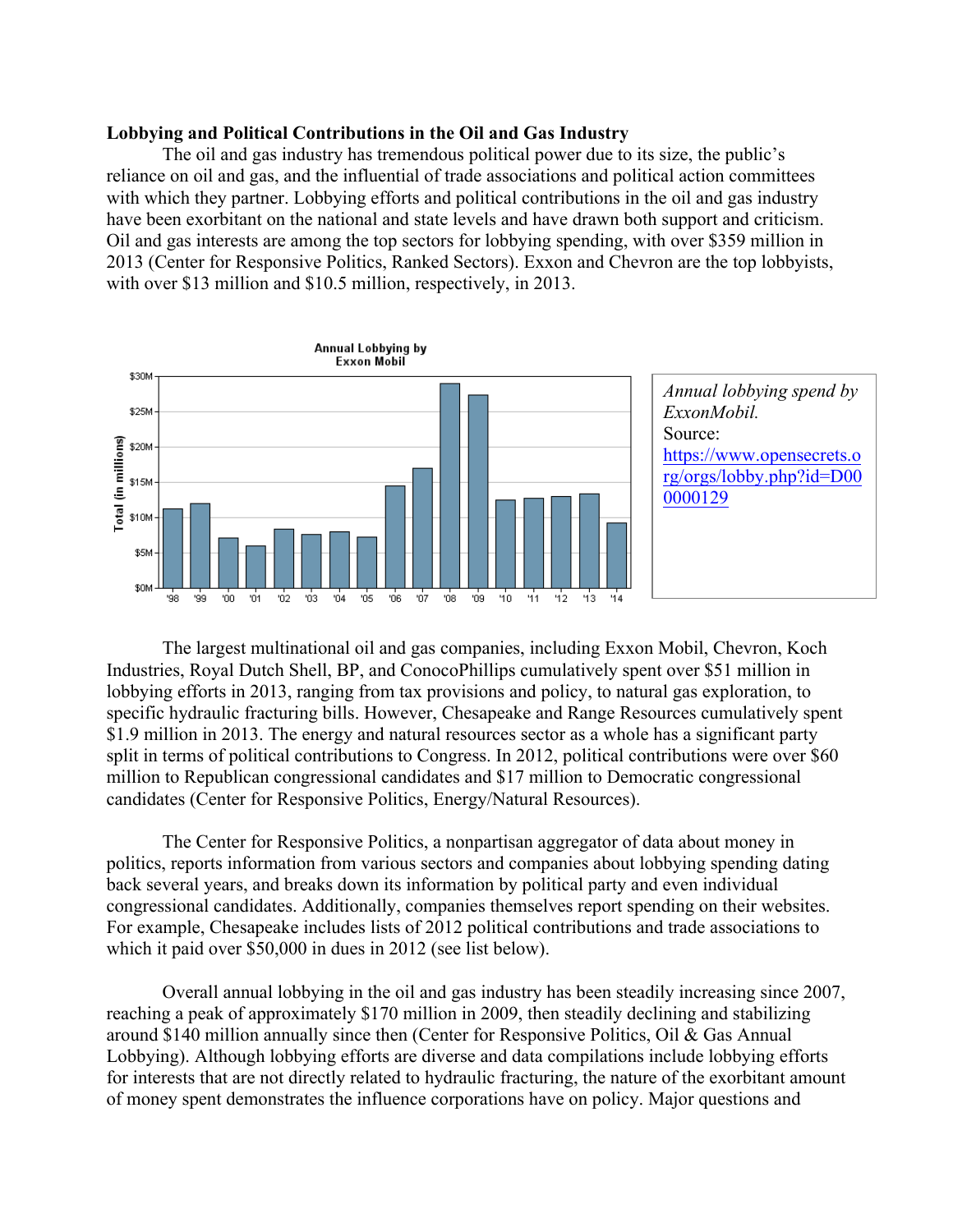#### **Lobbying and Political Contributions in the Oil and Gas Industry**

The oil and gas industry has tremendous political power due to its size, the public's reliance on oil and gas, and the influential of trade associations and political action committees with which they partner. Lobbying efforts and political contributions in the oil and gas industry have been exorbitant on the national and state levels and have drawn both support and criticism. Oil and gas interests are among the top sectors for lobbying spending, with over \$359 million in 2013 (Center for Responsive Politics, Ranked Sectors). Exxon and Chevron are the top lobbyists, with over \$13 million and \$10.5 million, respectively, in 2013.



The largest multinational oil and gas companies, including Exxon Mobil, Chevron, Koch Industries, Royal Dutch Shell, BP, and ConocoPhillips cumulatively spent over \$51 million in lobbying efforts in 2013, ranging from tax provisions and policy, to natural gas exploration, to specific hydraulic fracturing bills. However, Chesapeake and Range Resources cumulatively spent \$1.9 million in 2013. The energy and natural resources sector as a whole has a significant party split in terms of political contributions to Congress. In 2012, political contributions were over \$60 million to Republican congressional candidates and \$17 million to Democratic congressional candidates (Center for Responsive Politics, Energy/Natural Resources).

The Center for Responsive Politics, a nonpartisan aggregator of data about money in politics, reports information from various sectors and companies about lobbying spending dating back several years, and breaks down its information by political party and even individual congressional candidates. Additionally, companies themselves report spending on their websites. For example, Chesapeake includes lists of 2012 political contributions and trade associations to which it paid over \$50,000 in dues in 2012 (see list below).

Overall annual lobbying in the oil and gas industry has been steadily increasing since 2007, reaching a peak of approximately \$170 million in 2009, then steadily declining and stabilizing around \$140 million annually since then (Center for Responsive Politics, Oil & Gas Annual Lobbying). Although lobbying efforts are diverse and data compilations include lobbying efforts for interests that are not directly related to hydraulic fracturing, the nature of the exorbitant amount of money spent demonstrates the influence corporations have on policy. Major questions and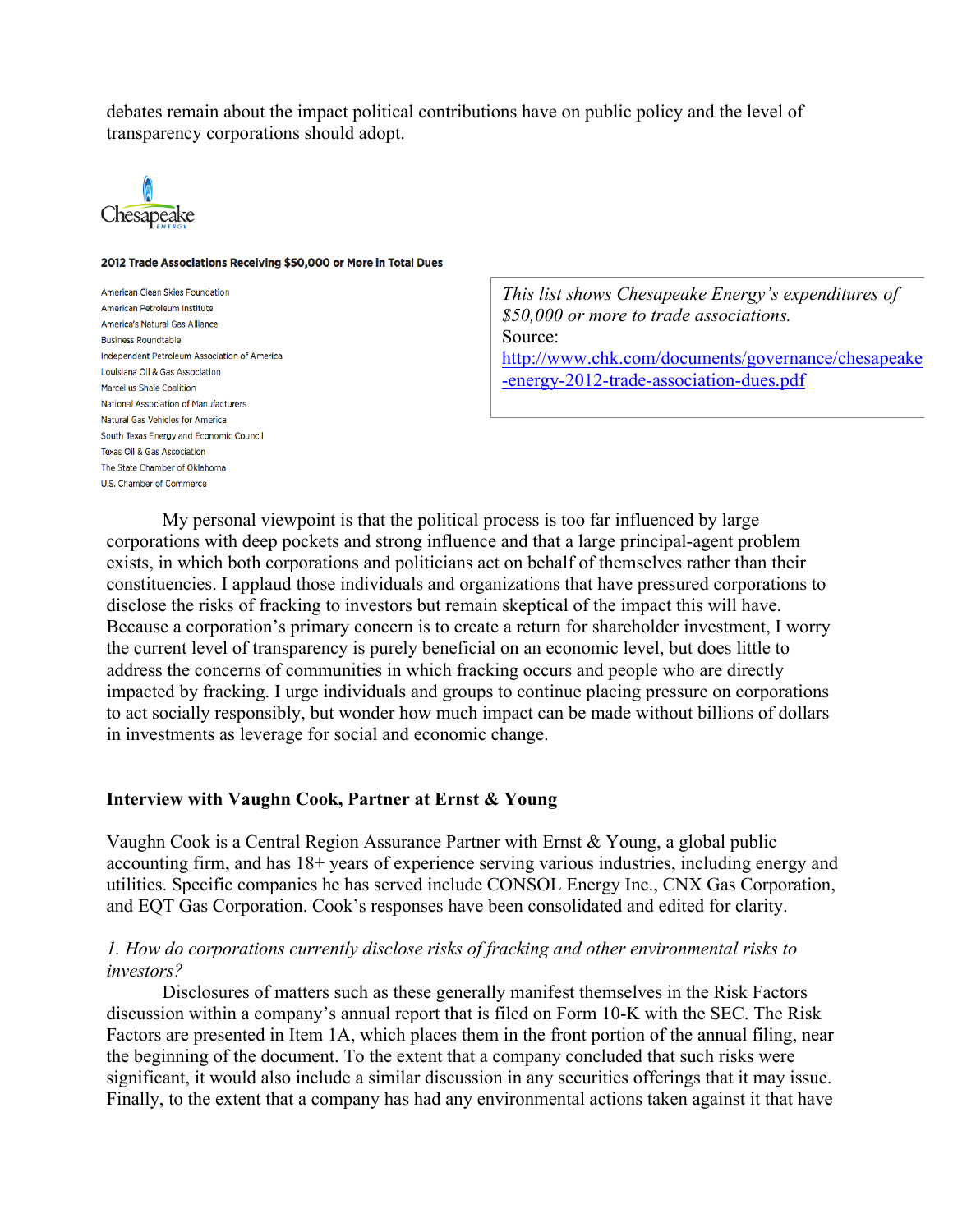debates remain about the impact political contributions have on public policy and the level of transparency corporations should adopt.



#### 2012 Trade Associations Receiving \$50,000 or More in Total Dues

**American Clean Skies Foundation** American Petroleum Institute America's Natural Gas Alliance **Business Roundtable** Independent Petroleum Association of America Louisiana Oil & Gas Association **Marcellus Shale Coalition** National Association of Manufacturers Natural Gas Vehicles for America South Texas Energy and Economic Council Texas Oil & Gas Association The State Chamber of Oklahoma U.S. Chamber of Commerce

*This list shows Chesapeake Energy's expenditures of \$50,000 or more to trade associations.*  Source: http://www.chk.com/documents/governance/chesapeake -energy-2012-trade-association-dues.pdf

My personal viewpoint is that the political process is too far influenced by large corporations with deep pockets and strong influence and that a large principal-agent problem exists, in which both corporations and politicians act on behalf of themselves rather than their constituencies. I applaud those individuals and organizations that have pressured corporations to disclose the risks of fracking to investors but remain skeptical of the impact this will have. Because a corporation's primary concern is to create a return for shareholder investment, I worry the current level of transparency is purely beneficial on an economic level, but does little to address the concerns of communities in which fracking occurs and people who are directly impacted by fracking. I urge individuals and groups to continue placing pressure on corporations to act socially responsibly, but wonder how much impact can be made without billions of dollars in investments as leverage for social and economic change.

#### **Interview with Vaughn Cook, Partner at Ernst & Young**

Vaughn Cook is a Central Region Assurance Partner with Ernst & Young, a global public accounting firm, and has 18+ years of experience serving various industries, including energy and utilities. Specific companies he has served include CONSOL Energy Inc., CNX Gas Corporation, and EQT Gas Corporation. Cook's responses have been consolidated and edited for clarity.

#### *1. How do corporations currently disclose risks of fracking and other environmental risks to investors?*

Disclosures of matters such as these generally manifest themselves in the Risk Factors discussion within a company's annual report that is filed on Form 10-K with the SEC. The Risk Factors are presented in Item 1A, which places them in the front portion of the annual filing, near the beginning of the document. To the extent that a company concluded that such risks were significant, it would also include a similar discussion in any securities offerings that it may issue. Finally, to the extent that a company has had any environmental actions taken against it that have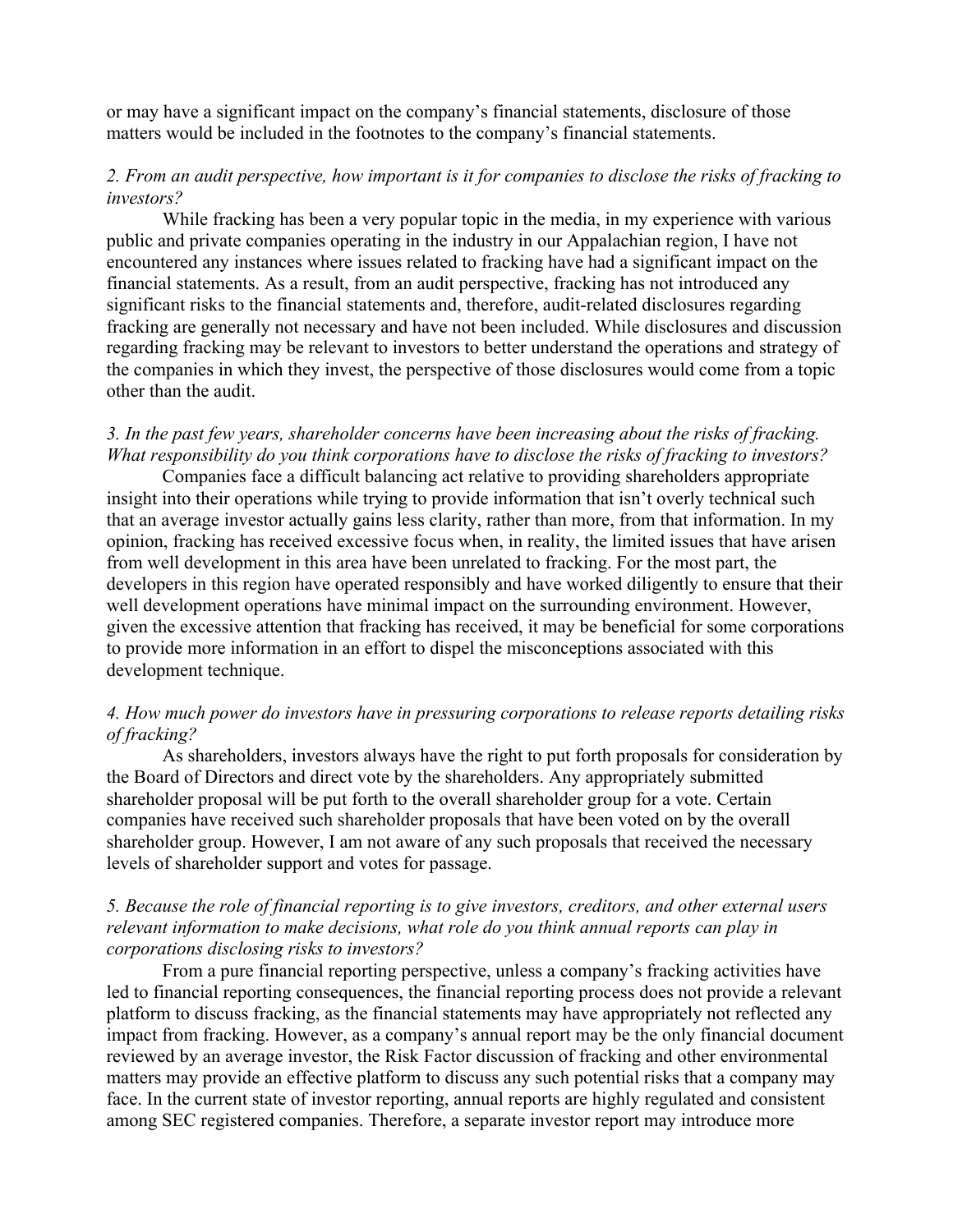or may have a significant impact on the company's financial statements, disclosure of those matters would be included in the footnotes to the company's financial statements.

#### *2. From an audit perspective, how important is it for companies to disclose the risks of fracking to investors?*

While fracking has been a very popular topic in the media, in my experience with various public and private companies operating in the industry in our Appalachian region, I have not encountered any instances where issues related to fracking have had a significant impact on the financial statements. As a result, from an audit perspective, fracking has not introduced any significant risks to the financial statements and, therefore, audit-related disclosures regarding fracking are generally not necessary and have not been included. While disclosures and discussion regarding fracking may be relevant to investors to better understand the operations and strategy of the companies in which they invest, the perspective of those disclosures would come from a topic other than the audit.

# *3. In the past few years, shareholder concerns have been increasing about the risks of fracking. What responsibility do you think corporations have to disclose the risks of fracking to investors?*

Companies face a difficult balancing act relative to providing shareholders appropriate insight into their operations while trying to provide information that isn't overly technical such that an average investor actually gains less clarity, rather than more, from that information. In my opinion, fracking has received excessive focus when, in reality, the limited issues that have arisen from well development in this area have been unrelated to fracking. For the most part, the developers in this region have operated responsibly and have worked diligently to ensure that their well development operations have minimal impact on the surrounding environment. However, given the excessive attention that fracking has received, it may be beneficial for some corporations to provide more information in an effort to dispel the misconceptions associated with this development technique.

# *4. How much power do investors have in pressuring corporations to release reports detailing risks of fracking?*

As shareholders, investors always have the right to put forth proposals for consideration by the Board of Directors and direct vote by the shareholders. Any appropriately submitted shareholder proposal will be put forth to the overall shareholder group for a vote. Certain companies have received such shareholder proposals that have been voted on by the overall shareholder group. However, I am not aware of any such proposals that received the necessary levels of shareholder support and votes for passage.

#### *5. Because the role of financial reporting is to give investors, creditors, and other external users relevant information to make decisions, what role do you think annual reports can play in corporations disclosing risks to investors?*

From a pure financial reporting perspective, unless a company's fracking activities have led to financial reporting consequences, the financial reporting process does not provide a relevant platform to discuss fracking, as the financial statements may have appropriately not reflected any impact from fracking. However, as a company's annual report may be the only financial document reviewed by an average investor, the Risk Factor discussion of fracking and other environmental matters may provide an effective platform to discuss any such potential risks that a company may face. In the current state of investor reporting, annual reports are highly regulated and consistent among SEC registered companies. Therefore, a separate investor report may introduce more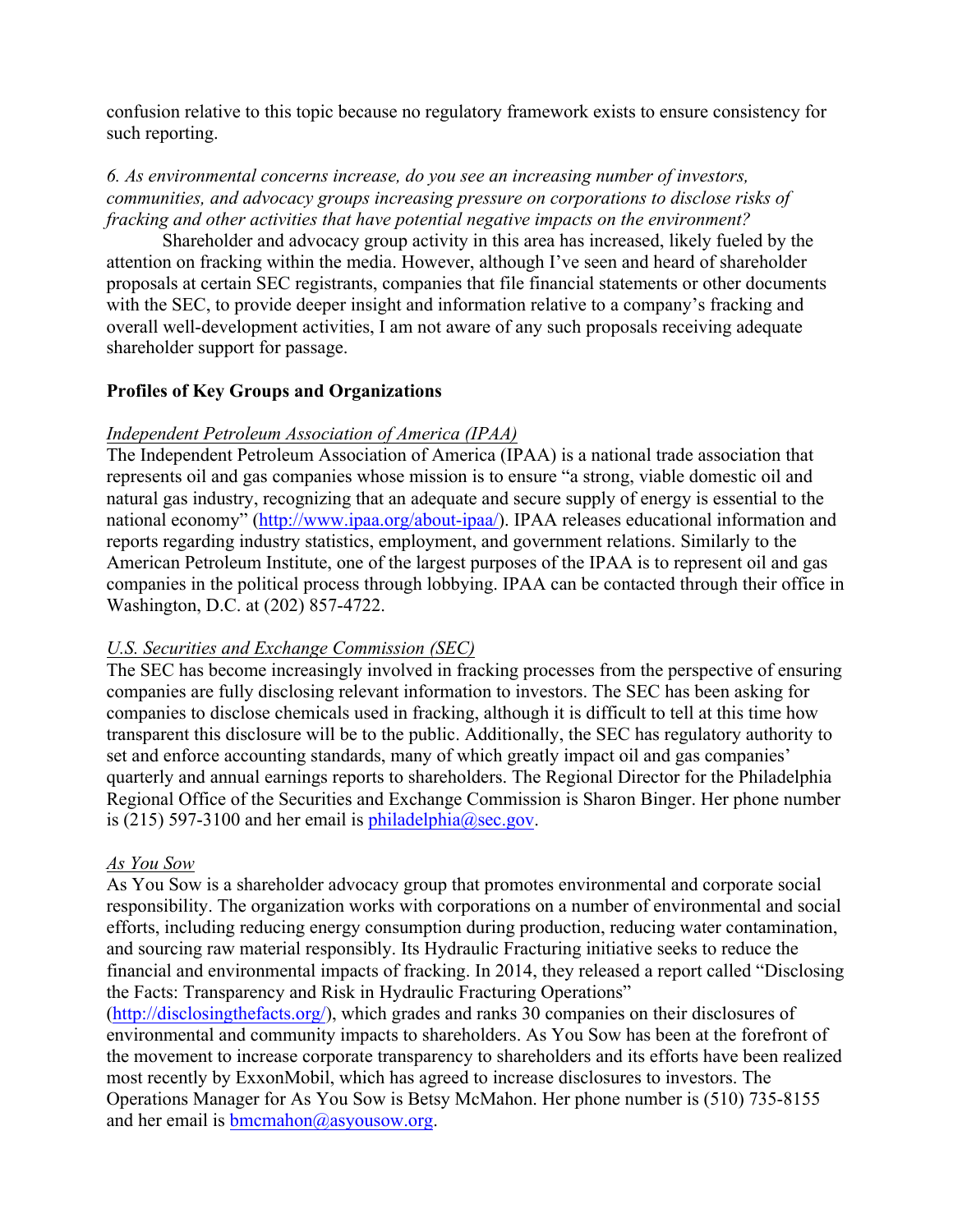confusion relative to this topic because no regulatory framework exists to ensure consistency for such reporting.

# *6. As environmental concerns increase, do you see an increasing number of investors, communities, and advocacy groups increasing pressure on corporations to disclose risks of fracking and other activities that have potential negative impacts on the environment?*

Shareholder and advocacy group activity in this area has increased, likely fueled by the attention on fracking within the media. However, although I've seen and heard of shareholder proposals at certain SEC registrants, companies that file financial statements or other documents with the SEC, to provide deeper insight and information relative to a company's fracking and overall well-development activities, I am not aware of any such proposals receiving adequate shareholder support for passage.

# **Profiles of Key Groups and Organizations**

#### *Independent Petroleum Association of America (IPAA)*

The Independent Petroleum Association of America (IPAA) is a national trade association that represents oil and gas companies whose mission is to ensure "a strong, viable domestic oil and natural gas industry, recognizing that an adequate and secure supply of energy is essential to the national economy" (http://www.ipaa.org/about-ipaa/). IPAA releases educational information and reports regarding industry statistics, employment, and government relations. Similarly to the American Petroleum Institute, one of the largest purposes of the IPAA is to represent oil and gas companies in the political process through lobbying. IPAA can be contacted through their office in Washington, D.C. at (202) 857-4722.

# *U.S. Securities and Exchange Commission (SEC)*

The SEC has become increasingly involved in fracking processes from the perspective of ensuring companies are fully disclosing relevant information to investors. The SEC has been asking for companies to disclose chemicals used in fracking, although it is difficult to tell at this time how transparent this disclosure will be to the public. Additionally, the SEC has regulatory authority to set and enforce accounting standards, many of which greatly impact oil and gas companies' quarterly and annual earnings reports to shareholders. The Regional Director for the Philadelphia Regional Office of the Securities and Exchange Commission is Sharon Binger. Her phone number is (215) 597-3100 and her email is  $philadelphia@sec.gov$ .

#### *As You Sow*

As You Sow is a shareholder advocacy group that promotes environmental and corporate social responsibility. The organization works with corporations on a number of environmental and social efforts, including reducing energy consumption during production, reducing water contamination, and sourcing raw material responsibly. Its Hydraulic Fracturing initiative seeks to reduce the financial and environmental impacts of fracking. In 2014, they released a report called "Disclosing the Facts: Transparency and Risk in Hydraulic Fracturing Operations"

(http://disclosingthefacts.org/), which grades and ranks 30 companies on their disclosures of environmental and community impacts to shareholders. As You Sow has been at the forefront of the movement to increase corporate transparency to shareholders and its efforts have been realized most recently by ExxonMobil, which has agreed to increase disclosures to investors. The Operations Manager for As You Sow is Betsy McMahon. Her phone number is (510) 735-8155 and her email is  $b$ mcmahon@asyousow.org.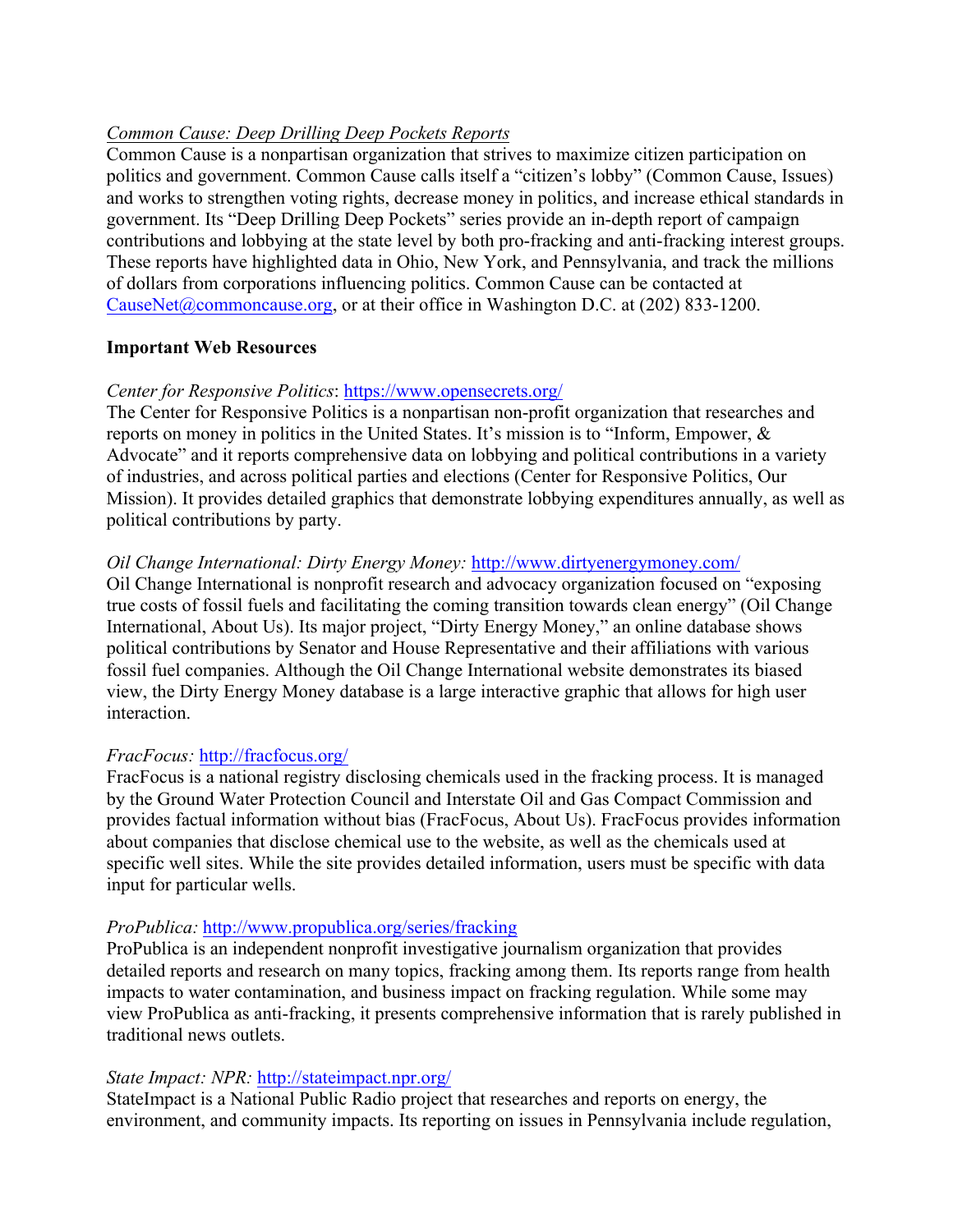# *Common Cause: Deep Drilling Deep Pockets Reports*

Common Cause is a nonpartisan organization that strives to maximize citizen participation on politics and government. Common Cause calls itself a "citizen's lobby" (Common Cause, Issues) and works to strengthen voting rights, decrease money in politics, and increase ethical standards in government. Its "Deep Drilling Deep Pockets" series provide an in-depth report of campaign contributions and lobbying at the state level by both pro-fracking and anti-fracking interest groups. These reports have highlighted data in Ohio, New York, and Pennsylvania, and track the millions of dollars from corporations influencing politics. Common Cause can be contacted at CauseNet@commoncause.org, or at their office in Washington D.C. at (202) 833-1200.

#### **Important Web Resources**

# *Center for Responsive Politics*: https://www.opensecrets.org/

The Center for Responsive Politics is a nonpartisan non-profit organization that researches and reports on money in politics in the United States. It's mission is to "Inform, Empower, & Advocate" and it reports comprehensive data on lobbying and political contributions in a variety of industries, and across political parties and elections (Center for Responsive Politics, Our Mission). It provides detailed graphics that demonstrate lobbying expenditures annually, as well as political contributions by party.

# *Oil Change International: Dirty Energy Money: http://www.dirtyenergymoney.com/*

Oil Change International is nonprofit research and advocacy organization focused on "exposing true costs of fossil fuels and facilitating the coming transition towards clean energy" (Oil Change International, About Us). Its major project, "Dirty Energy Money," an online database shows political contributions by Senator and House Representative and their affiliations with various fossil fuel companies. Although the Oil Change International website demonstrates its biased view, the Dirty Energy Money database is a large interactive graphic that allows for high user interaction.

# *FracFocus:* http://fracfocus.org/

FracFocus is a national registry disclosing chemicals used in the fracking process. It is managed by the Ground Water Protection Council and Interstate Oil and Gas Compact Commission and provides factual information without bias (FracFocus, About Us). FracFocus provides information about companies that disclose chemical use to the website, as well as the chemicals used at specific well sites. While the site provides detailed information, users must be specific with data input for particular wells.

# *ProPublica:* http://www.propublica.org/series/fracking

ProPublica is an independent nonprofit investigative journalism organization that provides detailed reports and research on many topics, fracking among them. Its reports range from health impacts to water contamination, and business impact on fracking regulation. While some may view ProPublica as anti-fracking, it presents comprehensive information that is rarely published in traditional news outlets.

# *State Impact: NPR:* http://stateimpact.npr.org/

StateImpact is a National Public Radio project that researches and reports on energy, the environment, and community impacts. Its reporting on issues in Pennsylvania include regulation,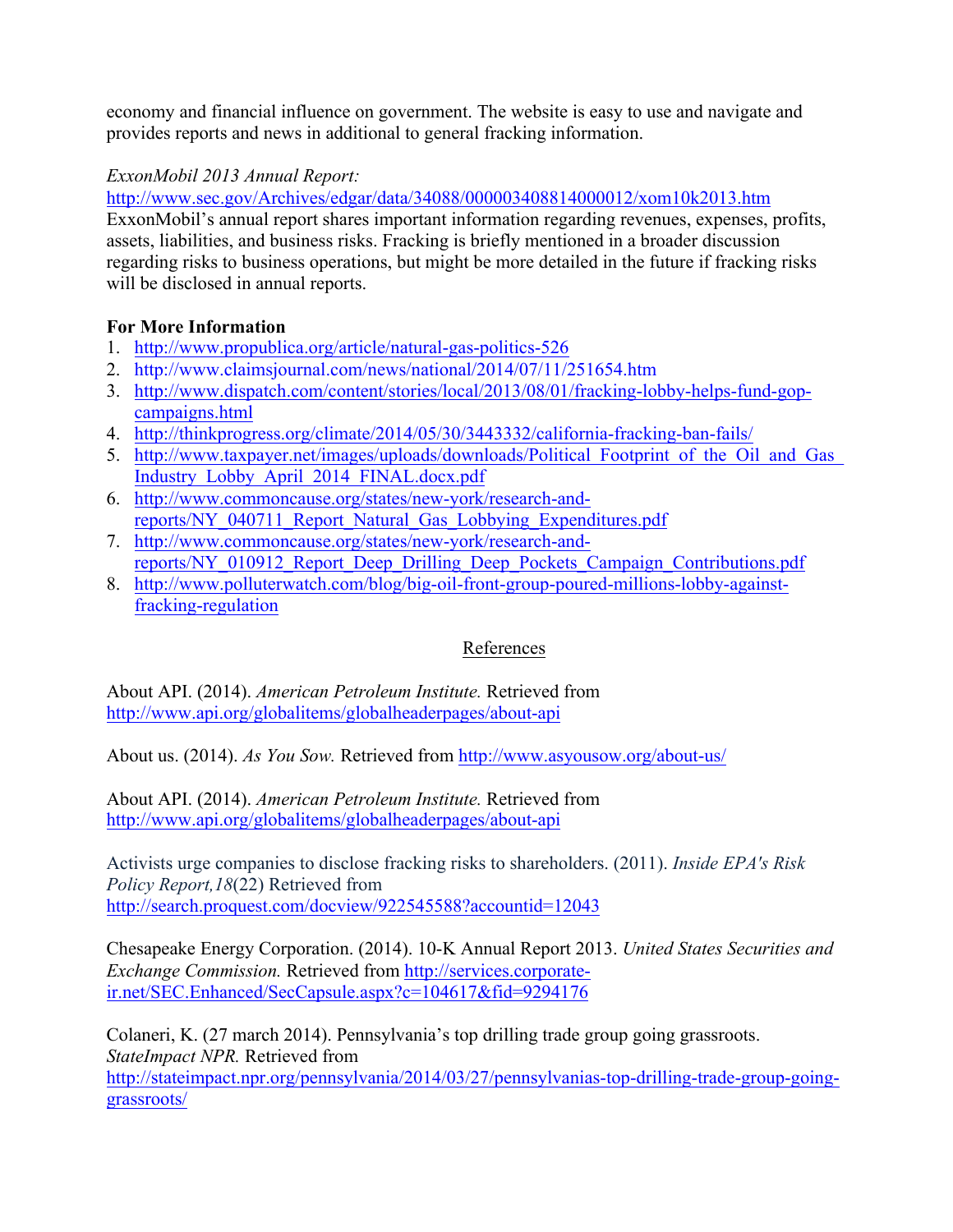economy and financial influence on government. The website is easy to use and navigate and provides reports and news in additional to general fracking information.

# *ExxonMobil 2013 Annual Report:*

http://www.sec.gov/Archives/edgar/data/34088/000003408814000012/xom10k2013.htm

ExxonMobil's annual report shares important information regarding revenues, expenses, profits, assets, liabilities, and business risks. Fracking is briefly mentioned in a broader discussion regarding risks to business operations, but might be more detailed in the future if fracking risks will be disclosed in annual reports.

# **For More Information**

- 1. http://www.propublica.org/article/natural-gas-politics-526
- 2. http://www.claimsjournal.com/news/national/2014/07/11/251654.htm
- 3. http://www.dispatch.com/content/stories/local/2013/08/01/fracking-lobby-helps-fund-gopcampaigns.html
- 4. http://thinkprogress.org/climate/2014/05/30/3443332/california-fracking-ban-fails/
- 5. http://www.taxpayer.net/images/uploads/downloads/Political\_Footprint\_of\_the\_Oil\_and\_Gas\_ Industry\_Lobby\_April\_2014\_FINAL.docx.pdf
- 6. http://www.commoncause.org/states/new-york/research-andreports/NY\_040711\_Report\_Natural\_Gas\_Lobbying\_Expenditures.pdf
- 7. http://www.commoncause.org/states/new-york/research-andreports/NY\_010912\_Report\_Deep\_Drilling\_Deep\_Pockets\_Campaign\_Contributions.pdf
- 8. http://www.polluterwatch.com/blog/big-oil-front-group-poured-millions-lobby-againstfracking-regulation

# References

About API. (2014). *American Petroleum Institute.* Retrieved from http://www.api.org/globalitems/globalheaderpages/about-api

About us. (2014). *As You Sow.* Retrieved from http://www.asyousow.org/about-us/

About API. (2014). *American Petroleum Institute.* Retrieved from http://www.api.org/globalitems/globalheaderpages/about-api

Activists urge companies to disclose fracking risks to shareholders. (2011). *Inside EPA's Risk Policy Report,18*(22) Retrieved from http://search.proquest.com/docview/922545588?accountid=12043

Chesapeake Energy Corporation. (2014). 10-K Annual Report 2013. *United States Securities and Exchange Commission.* Retrieved from http://services.corporateir.net/SEC.Enhanced/SecCapsule.aspx?c=104617&fid=9294176

Colaneri, K. (27 march 2014). Pennsylvania's top drilling trade group going grassroots. *StateImpact NPR.* Retrieved from http://stateimpact.npr.org/pennsylvania/2014/03/27/pennsylvanias-top-drilling-trade-group-goinggrassroots/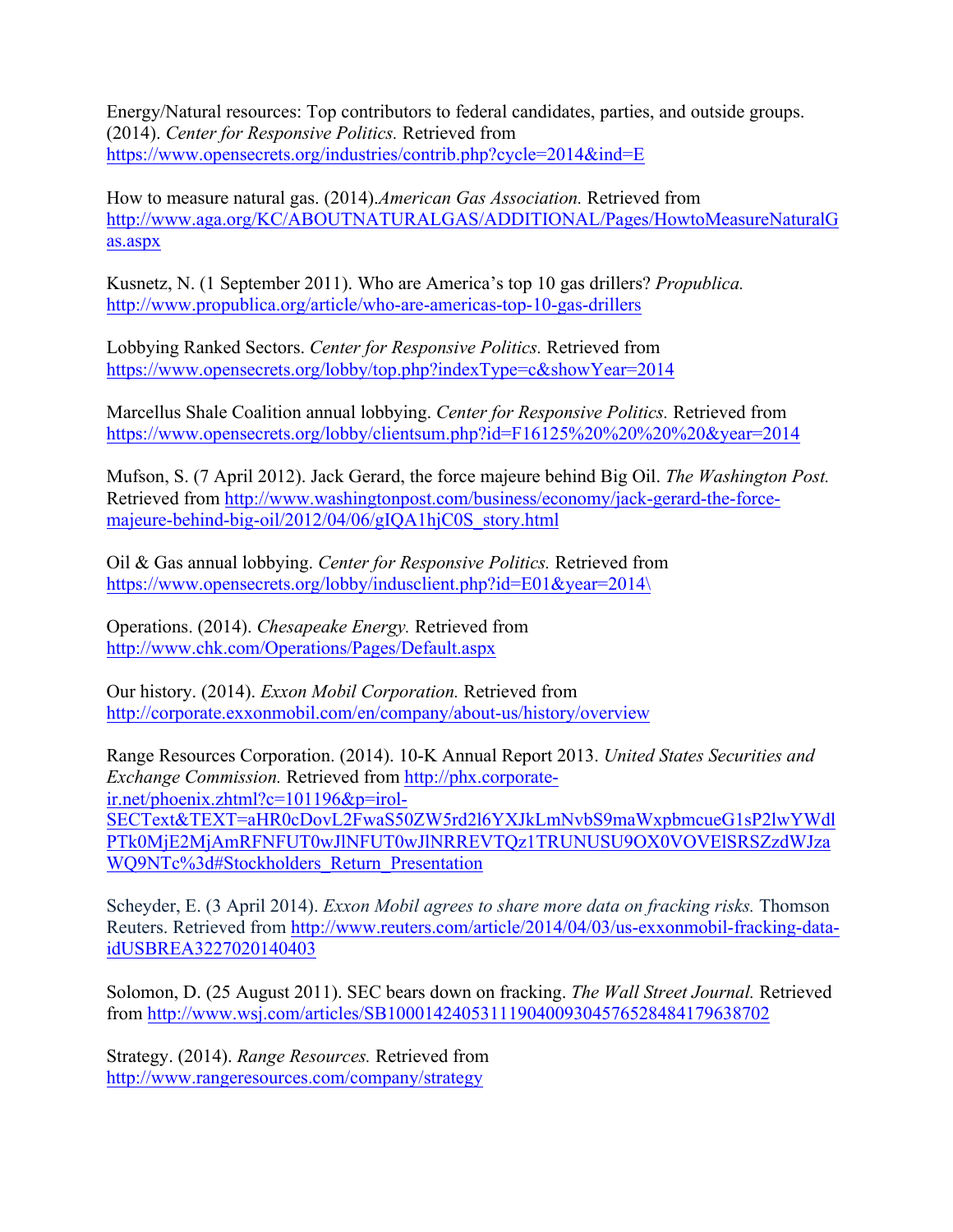Energy/Natural resources: Top contributors to federal candidates, parties, and outside groups. (2014). *Center for Responsive Politics.* Retrieved from https://www.opensecrets.org/industries/contrib.php?cycle=2014&ind=E

How to measure natural gas. (2014).*American Gas Association.* Retrieved from http://www.aga.org/KC/ABOUTNATURALGAS/ADDITIONAL/Pages/HowtoMeasureNaturalG as.aspx

Kusnetz, N. (1 September 2011). Who are America's top 10 gas drillers? *Propublica.* http://www.propublica.org/article/who-are-americas-top-10-gas-drillers

Lobbying Ranked Sectors. *Center for Responsive Politics.* Retrieved from https://www.opensecrets.org/lobby/top.php?indexType=c&showYear=2014

Marcellus Shale Coalition annual lobbying. *Center for Responsive Politics.* Retrieved from https://www.opensecrets.org/lobby/clientsum.php?id=F16125%20%20%20%20&year=2014

Mufson, S. (7 April 2012). Jack Gerard, the force majeure behind Big Oil. *The Washington Post.* Retrieved from http://www.washingtonpost.com/business/economy/jack-gerard-the-forcemajeure-behind-big-oil/2012/04/06/gIQA1hjC0S\_story.html

Oil & Gas annual lobbying. *Center for Responsive Politics.* Retrieved from https://www.opensecrets.org/lobby/indusclient.php?id=E01&year=2014\

Operations. (2014). *Chesapeake Energy.* Retrieved from http://www.chk.com/Operations/Pages/Default.aspx

Our history. (2014). *Exxon Mobil Corporation.* Retrieved from http://corporate.exxonmobil.com/en/company/about-us/history/overview

Range Resources Corporation. (2014). 10-K Annual Report 2013. *United States Securities and Exchange Commission.* Retrieved from http://phx.corporateir.net/phoenix.zhtml?c=101196&p=irol-SECText&TEXT=aHR0cDovL2FwaS50ZW5rd2l6YXJkLmNvbS9maWxpbmcueG1sP2lwYWdl PTk0MjE2MjAmRFNFUT0wJlNFUT0wJlNRREVTQz1TRUNUSU9OX0VOVElSRSZzdWJza WQ9NTc%3d#Stockholders\_Return\_Presentation

Scheyder, E. (3 April 2014). *Exxon Mobil agrees to share more data on fracking risks.* Thomson Reuters. Retrieved from http://www.reuters.com/article/2014/04/03/us-exxonmobil-fracking-dataidUSBREA3227020140403

Solomon, D. (25 August 2011). SEC bears down on fracking. *The Wall Street Journal.* Retrieved from http://www.wsj.com/articles/SB10001424053111904009304576528484179638702

Strategy. (2014). *Range Resources.* Retrieved from http://www.rangeresources.com/company/strategy